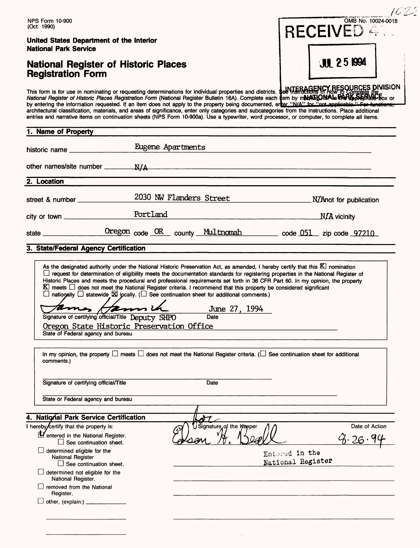|                                                                                                        |                                                                                                                                                                                                                                                                                                                                                                                                                                                                                                                                                                                                                                                                                                                                       | 10 Z S                                    |
|--------------------------------------------------------------------------------------------------------|---------------------------------------------------------------------------------------------------------------------------------------------------------------------------------------------------------------------------------------------------------------------------------------------------------------------------------------------------------------------------------------------------------------------------------------------------------------------------------------------------------------------------------------------------------------------------------------------------------------------------------------------------------------------------------------------------------------------------------------|-------------------------------------------|
| <b>NPS Form 10-900</b><br>(Oct. 1990)                                                                  |                                                                                                                                                                                                                                                                                                                                                                                                                                                                                                                                                                                                                                                                                                                                       | OMB No. 10024-0018<br><b>RECEIVED 41.</b> |
| United States Department of the Interior<br><b>National Park Service</b>                               |                                                                                                                                                                                                                                                                                                                                                                                                                                                                                                                                                                                                                                                                                                                                       |                                           |
| <b>National Register of Historic Places</b><br><b>Registration Form</b>                                |                                                                                                                                                                                                                                                                                                                                                                                                                                                                                                                                                                                                                                                                                                                                       | <b>JUL 25 1994</b>                        |
|                                                                                                        | This form is for use in nominating or requesting determinations for individual properties and districts. See WISTERAGENCY RESOURCES DIVISION<br>National Register of Historic Places Registration Form (National Register Bulleti<br>by entering the information requested. If an item does not apply to the property being documented, enter "N/A" for "not applicable." For fun<br>architectural classification, materials, and areas of significance, enter only categories and subcategories from the instructions. Place additional<br>entries and narrative items on continuation sheets (NPS Form 10-900a). Use a typewriter, word processor, or computer, to complete all items.                                              |                                           |
| 1. Name of Property                                                                                    |                                                                                                                                                                                                                                                                                                                                                                                                                                                                                                                                                                                                                                                                                                                                       |                                           |
| historic name                                                                                          | Eugene Apartments                                                                                                                                                                                                                                                                                                                                                                                                                                                                                                                                                                                                                                                                                                                     |                                           |
|                                                                                                        |                                                                                                                                                                                                                                                                                                                                                                                                                                                                                                                                                                                                                                                                                                                                       |                                           |
| 2. Location                                                                                            |                                                                                                                                                                                                                                                                                                                                                                                                                                                                                                                                                                                                                                                                                                                                       |                                           |
|                                                                                                        | 2030 NW Flanders Street N/Anot for publication                                                                                                                                                                                                                                                                                                                                                                                                                                                                                                                                                                                                                                                                                        |                                           |
|                                                                                                        |                                                                                                                                                                                                                                                                                                                                                                                                                                                                                                                                                                                                                                                                                                                                       |                                           |
|                                                                                                        | state <u>Chregon</u> code OR county Multnomah code 051 zip code 97210                                                                                                                                                                                                                                                                                                                                                                                                                                                                                                                                                                                                                                                                 |                                           |
| 3. State/Federal Agency Certification                                                                  |                                                                                                                                                                                                                                                                                                                                                                                                                                                                                                                                                                                                                                                                                                                                       |                                           |
| Signature of certifying official/Title Deputy SHPO<br>State of Federal agency and bureau<br>comments.) | □ request for determination of eligibility meets the documentation standards for registering properties in the National Register of<br>Historic Places and meets the procedural and professional requirements set forth in 36 CFR Part 60. In my opinion, the property<br>K meets □ does not meet the National Register criteria. I recommend that this property be considered significant<br>$\Box$ nationally $\Box$ statewide $\boxtimes$ locally. ( $\Box$ See continuation sheet for additional comments.)<br>June 27, 1994<br>Date<br>Oregon State Historic Preservation Office<br>In my opinion, the property $\Box$ meets $\Box$ does not meet the National Register criteria. ( $\Box$ See continuation sheet for additional |                                           |
| Signature of certifying official/Title                                                                 | Date                                                                                                                                                                                                                                                                                                                                                                                                                                                                                                                                                                                                                                                                                                                                  |                                           |
| State or Federal agency and bureau                                                                     |                                                                                                                                                                                                                                                                                                                                                                                                                                                                                                                                                                                                                                                                                                                                       |                                           |
|                                                                                                        |                                                                                                                                                                                                                                                                                                                                                                                                                                                                                                                                                                                                                                                                                                                                       |                                           |
| 4. National Park Service Certification<br>I hereby certify that the property is:                       | $\lambda\tau$<br>Signature of the Keeper                                                                                                                                                                                                                                                                                                                                                                                                                                                                                                                                                                                                                                                                                              | Date of Action                            |
| Pentered in the National Register.<br>$\Box$ See continuation sheet.                                   | $\omega$                                                                                                                                                                                                                                                                                                                                                                                                                                                                                                                                                                                                                                                                                                                              |                                           |
| determined eligible for the<br><b>National Register</b><br>$\Box$ See continuation sheet.              |                                                                                                                                                                                                                                                                                                                                                                                                                                                                                                                                                                                                                                                                                                                                       | Entered in the<br>National Register       |
| $\Box$ determined not eligible for the<br>National Register.                                           |                                                                                                                                                                                                                                                                                                                                                                                                                                                                                                                                                                                                                                                                                                                                       |                                           |
| removed from the National<br>Register.                                                                 |                                                                                                                                                                                                                                                                                                                                                                                                                                                                                                                                                                                                                                                                                                                                       |                                           |
|                                                                                                        |                                                                                                                                                                                                                                                                                                                                                                                                                                                                                                                                                                                                                                                                                                                                       |                                           |
|                                                                                                        |                                                                                                                                                                                                                                                                                                                                                                                                                                                                                                                                                                                                                                                                                                                                       |                                           |
|                                                                                                        |                                                                                                                                                                                                                                                                                                                                                                                                                                                                                                                                                                                                                                                                                                                                       |                                           |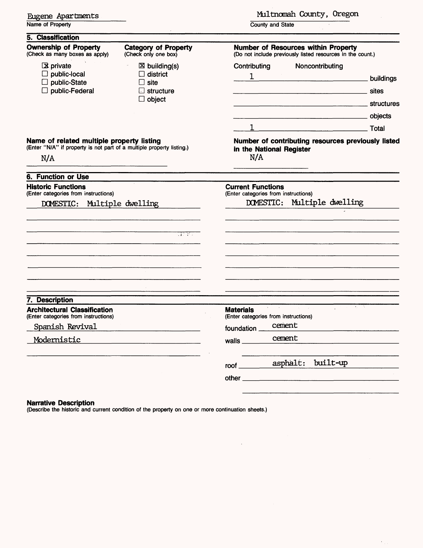|  | Eugene Apartments |
|--|-------------------|
|--|-------------------|

Name of Property

### Multnomah County, Oregon

County and State

| Contributing<br>Noncontributing<br>$\mathbf{1}$<br><b>Maria Landings</b> buildings                    |
|-------------------------------------------------------------------------------------------------------|
| structures<br><u> 1980 - Jan Barnett, fransk politik (f. 1980)</u>                                    |
| <b>Total</b><br>Number of contributing resources previously listed<br>in the National Register<br>N/A |
|                                                                                                       |
| <b>Current Functions</b><br>(Enter categories from instructions)<br>DOMESTIC: Multiple dwelling       |
| Australian                                                                                            |
| <b>Materials</b><br>(Enter categories from instructions)                                              |
| cement<br>foundation                                                                                  |
| cement<br>walls $\_\_\_\_\_\_\_\$                                                                     |
| built-up<br>asphalt:<br>$root \_$                                                                     |
|                                                                                                       |

 $\overline{\phantom{a}}$ 

 $\epsilon$ 

### **Narrative Description**

(Describe the historic and current condition of the property on one or more continuation sheets.)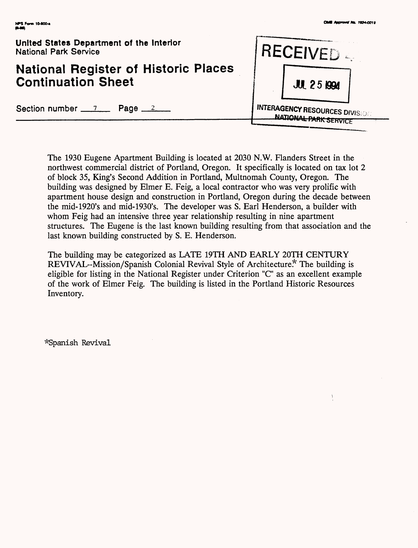$\mathfrak{z}$ 

| United States Department of the Interior<br><b>National Park Service</b> | <b>IRECEIVED</b>                       |  |  |
|--------------------------------------------------------------------------|----------------------------------------|--|--|
| <b>National Register of Historic Places</b><br><b>Continuation Sheet</b> | <b>JUL 25 1994</b>                     |  |  |
| Section number $\frac{7}{2}$ Page $\frac{2}{2}$                          | <b>INTERAGENCY RESOURCES DIVISIONE</b> |  |  |

The 1930 Eugene Apartment Building is located at 2030 N.W. Flanders Street in the northwest commercial district of Portland, Oregon. It specifically is located on tax lot 2 of block 35, King's Second Addition in Portland, Multnomah County, Oregon. The building was designed by Elmer E. Feig, a local contractor who was very prolific with apartment house design and construction in Portland, Oregon during the decade between the mid-1920's and mid-1930's. The developer was S. Earl Henderson, a builder with whom Feig had an intensive three year relationship resulting in nine apartment structures. The Eugene is the last known building resulting from that association and the last known building constructed by S. E. Henderson.

The building may be categorized as LATE 19TH AND EARLY 20TH CENTURY REVIVAL-Mission/Spanish Colonial Revival Style of Architecture\* The building is eligible for listing in the National Register under Criterion "C" as an excellent example of the work of Elmer Feig. The building is listed in the Portland Historic Resources Inventory.

^Spanish Revival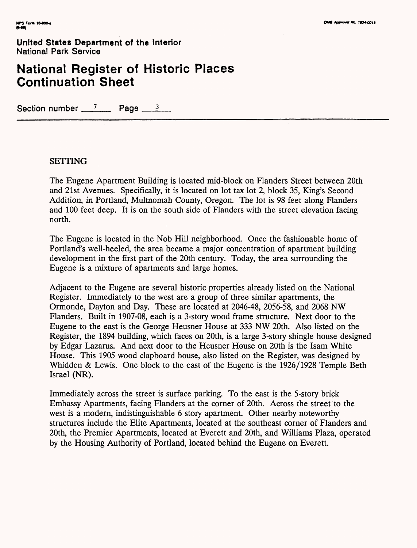# **National Register of Historic Places Continuation Sheet**

Section number  $\frac{7}{2}$  Page  $\frac{3}{2}$ 

### **SETTING**

The Eugene Apartment Building is located mid-block on Flanders Street between 20th and 21st Avenues. Specifically, it is located on lot tax lot 2, block 35, King's Second Addition, in Portland, Multnomah County, Oregon. The lot is 98 feet along Flanders and 100 feet deep. It is on the south side of Flanders with the street elevation facing north.

The Eugene is located in the Nob Hill neighborhood. Once the fashionable home of Portland's well-heeled, the area became a major concentration of apartment building development in the first part of the 20th century. Today, the area surrounding the Eugene is a mixture of apartments and large homes.

Adjacent to the Eugene are several historic properties already listed on the National Register. Immediately to the west are a group of three similar apartments, the Ormonde, Dayton and Day. These are located at 2046-48, 2056-58, and 2068 NW Flanders. Built in 1907-08, each is a 3-story wood frame structure. Next door to the Eugene to the east is the George Heusner House at 333 NW 20th. Also listed on the Register, the 1894 building, which faces on 20th, is a large 3-story shingle house designed by Edgar Lazarus. And next door to the Heusner House on 20th is the Isam White House. This 1905 wood clapboard house, also listed on the Register, was designed by Whidden & Lewis. One block to the east of the Eugene is the 1926/1928 Temple Beth Israel (NR).

Immediately across the street is surface parking. To the east is the 5-story brick Embassy Apartments, facing Flanders at the corner of 20th. Across the street to the west is a modern, indistinguishable 6 story apartment. Other nearby noteworthy structures include the Elite Apartments, located at the southeast corner of Flanders and 20th, the Premier Apartments, located at Everett and 20th, and Williams Plaza, operated by the Housing Authority of Portland, located behind the Eugene on Everett.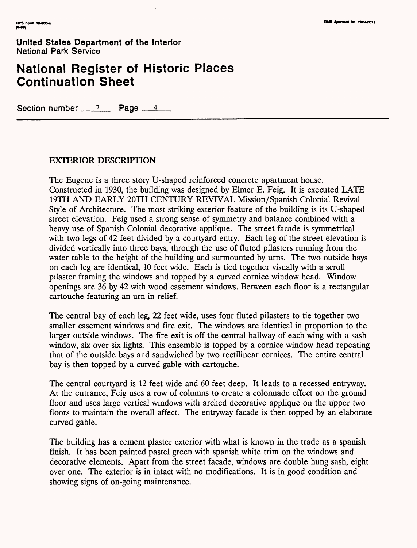# **National Register of Historic Places Continuation Sheet**

Section number  $\frac{7}{2}$  Page  $\frac{4}{4}$ 

### **EXTERIOR DESCRIPTION**

The Eugene is a three story U-shaped reinforced concrete apartment house. Constructed in 1930, the building was designed by Elmer E. Feig. It is executed LATE 19TH AND EARLY 20TH CENTURY REVIVAL Mission/Spanish Colonial Revival Style of Architecture. The most striking exterior feature of the building is its U-shaped street elevation. Feig used a strong sense of symmetry and balance combined with a heavy use of Spanish Colonial decorative applique. The street facade is symmetrical with two legs of 42 feet divided by a courtyard entry. Each leg of the street elevation is divided vertically into three bays, through the use of fluted pilasters running from the water table to the height of the building and surmounted by urns. The two outside bays on each leg are identical, 10 feet wide. Each is tied together visually with a scroll pilaster framing the windows and topped by a curved cornice window head. Window openings are 36 by 42 with wood casement windows. Between each floor is a rectangular cartouche featuring an urn in relief.

The central bay of each leg, 22 feet wide, uses four fluted pilasters to tie together two smaller casement windows and fire exit. The windows are identical in proportion to the larger outside windows. The fire exit is off the central hallway of each wing with a sash window, six over six lights. This ensemble is topped by a cornice window head repeating that of the outside bays and sandwiched by two rectilinear cornices. The entire central bay is then topped by a curved gable with cartouche.

The central courtyard is 12 feet wide and 60 feet deep. It leads to a recessed entryway. At the entrance, Feig uses a row of columns to create a colonnade effect on the ground floor and uses large vertical windows with arched decorative applique on the upper two floors to maintain the overall affect. The entryway facade is then topped by an elaborate curved gable.

The building has a cement plaster exterior with what is known in the trade as a spanish finish. It has been painted pastel green with Spanish white trim on the windows and decorative elements. Apart from the street facade, windows are double hung sash, eight over one. The exterior is in intact with no modifications. It is in good condition and showing signs of on-going maintenance.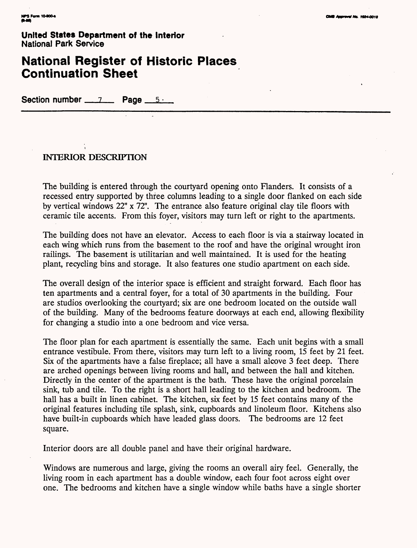# **National Register of Historic Places Continuation Sheet**

Section number 7 **Page** 

### **INTERIOR DESCRIPTION**

The building is entered through the courtyard opening onto Flanders. It consists of a recessed entry supported by three columns leading to a single door flanked on each side by vertical windows 22" x 72". The entrance also feature original clay tile floors with ceramic tile accents. From this foyer, visitors may turn left or right to the apartments.

The building does not have an elevator. Access to each floor is via a stairway located in each wing which runs from the basement to the roof and have the original wrought iron railings. The basement is utilitarian and well maintained. It is used for the heating plant, recycling bins and storage. It also features one studio apartment on each side.

The overall design of the interior space is efficient and straight forward. Each floor has ten apartments and a central foyer, for a total of 30 apartments in the building. Four are studios overlooking the courtyard; six are one bedroom located on the outside wall of the building. Many of the bedrooms feature doorways at each end, allowing flexibility for changing a studio into a one bedroom and vice versa.

The floor plan for each apartment is essentially the same. Each unit begins with a small entrance vestibule. From there, visitors may turn left to a living room, 15 feet by 21 feet. Six of the apartments have a false fireplace; all have a small alcove 3 feet deep. There are arched openings between living rooms and hall, and between the hall and kitchen. Directly in the center of the apartment is the bath. These have the original porcelain sink, tub and tile. To the right is a short hall leading to the kitchen and bedroom. The hall has a built in linen cabinet. The kitchen, six feet by 15 feet contains many of the original features including tile splash, sink, cupboards and linoleum floor. Kitchens also have built-in cupboards which have leaded glass doors. The bedrooms are 12 feet square.

Interior doors are all double panel and have their original hardware.

Windows are numerous and large, giving the rooms an overall airy feel. Generally, the living room in each apartment has a double window, each four foot across eight over one. The bedrooms and kitchen have a single window while baths have a single shorter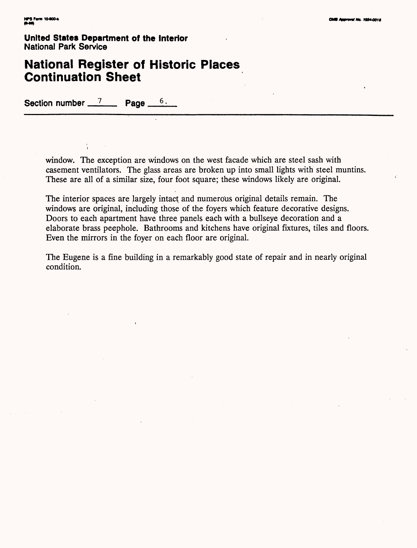# **National Register of Historic Places Continuation Sheet**

Section number  $\frac{7}{2}$  Page

window. The exception are windows on the west facade which are steel sash with casement ventilators. The glass areas are broken up into small lights with steel muntins. These are all of a similar size, four foot square; these windows likely are original.

The interior spaces are largely intact and numerous original details remain. The windows are original, including those of the foyers which feature decorative designs. Doors to each apartment have three panels each with a bullseye decoration and a elaborate brass peephole. Bathrooms and kitchens have original fixtures, tiles and floors. Even the mirrors in the foyer on each floor are original.

The Eugene is a fine building in a remarkably good state of repair and in nearly original condition.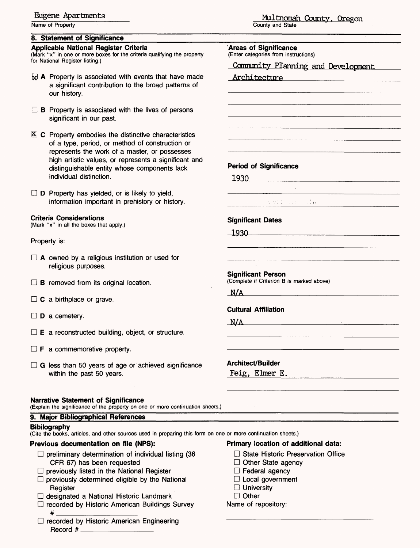### **Eugene Apartments**

Name of Property

### **8. Statement of Significance**

### **Applicable National Register Criteria**

(Mark "x" in one or more boxes for the criteria qualifying the property for National Register listing.)

- $\boxdot$  A Property is associated with events that have made a significant contribution to the broad patterns of our history.
- $\Box$  B Property is associated with the lives of persons significant in our past.
- $\Sigma$  C Property embodies the distinctive characteristics of a type, period, or method of construction or represents the work of a master, or possesses high artistic values, or represents a significant and distinguishable entity whose components lack individual distinction.

 $\square$  **D** Property has yielded, or is likely to yield, information important in prehistory or history.

### **Criteria Considerations**

(Mark "x" in all the boxes that apply.)

### Property is:

- $\Box$  A owned by a religious institution or used for religious purposes.
- $\Box$  **B** removed from its original location.
- $\Box$  C a birthplace or grave.
- $\square$  **D** a cemetery.
- $\Box$  **E** a reconstructed building, object, or structure.
- $\Box$  **F** a commemorative property.
- $\Box$  G less than 50 years of age or achieved significance within the past 50 years.

### **Narrative Statement of Significance**

(Explain the significance of the property on one or more continuation sheets

### **9. Major Bibliographical References**

### **Bibliography**

(Cite the books, articles, and other sources used in preparing this form on one or more continuation sheets.)

### **Previous documentation on file (NPS):**

- $\Box$  preliminary determination of individual listing (36 CFR 67) has been requested
- $\Box$  previously listed in the National Register
- $\Box$  previously determined eligible by the National **Register**
- D designated a National Historic Landmark
- $\Box$  recorded by Historic American Buildings Survey # \_\_\_\_\_\_\_\_\_\_\_\_\_\_
- $\Box$  recorded by Historic American Engineering Record #

# Multnomah County, Oregon

County and State

### **'Areas of Significance** (Enter categories from instructions)

Comnunity Planning and Development

| <u>Architecture</u>                                                                                                                                                                                                                                                                                                                                                          |                                                                       |
|------------------------------------------------------------------------------------------------------------------------------------------------------------------------------------------------------------------------------------------------------------------------------------------------------------------------------------------------------------------------------|-----------------------------------------------------------------------|
|                                                                                                                                                                                                                                                                                                                                                                              |                                                                       |
|                                                                                                                                                                                                                                                                                                                                                                              |                                                                       |
|                                                                                                                                                                                                                                                                                                                                                                              |                                                                       |
|                                                                                                                                                                                                                                                                                                                                                                              |                                                                       |
|                                                                                                                                                                                                                                                                                                                                                                              |                                                                       |
|                                                                                                                                                                                                                                                                                                                                                                              |                                                                       |
|                                                                                                                                                                                                                                                                                                                                                                              |                                                                       |
| <b>Period of Significance</b>                                                                                                                                                                                                                                                                                                                                                |                                                                       |
|                                                                                                                                                                                                                                                                                                                                                                              |                                                                       |
| $\begin{array}{c c} \hline 1930 & \hline \end{array}$                                                                                                                                                                                                                                                                                                                        |                                                                       |
|                                                                                                                                                                                                                                                                                                                                                                              | <u> 1980 - Johann Harry Barn, mars an t-Amerikaansk kommunister (</u> |
| $\frac{1}{2} \left( \frac{1}{2} \sum_{i=1}^{n} \frac{f_{i}^{(i)}}{f_{i}^{(i)}} - \frac{1}{2} \sum_{i=1}^{n} \frac{f_{i}^{(i)}}{f_{i}^{(i)}} \right) \left( \sum_{i=1}^{n} \frac{f_{i}^{(i)}}{f_{i}^{(i)}} - \sum_{i=1}^{n} \frac{f_{i}^{(i)}}{f_{i}^{(i)}} \right) \left( \sum_{i=1}^{n} \frac{f_{i}^{(i)}}{f_{i}^{(i)}} - \sum_{i=1}^{n} \frac{f_{i}^{(i)}}{f_{i}^{(i)}} \$ |                                                                       |
|                                                                                                                                                                                                                                                                                                                                                                              |                                                                       |
| <b>Significant Dates</b>                                                                                                                                                                                                                                                                                                                                                     |                                                                       |
|                                                                                                                                                                                                                                                                                                                                                                              |                                                                       |
|                                                                                                                                                                                                                                                                                                                                                                              |                                                                       |
|                                                                                                                                                                                                                                                                                                                                                                              |                                                                       |
|                                                                                                                                                                                                                                                                                                                                                                              |                                                                       |
| <b>Significant Person</b><br>(Complete if Criterion B is marked above)                                                                                                                                                                                                                                                                                                       |                                                                       |
|                                                                                                                                                                                                                                                                                                                                                                              |                                                                       |
| N/A                                                                                                                                                                                                                                                                                                                                                                          |                                                                       |
| <b>Cultural Affiliation</b>                                                                                                                                                                                                                                                                                                                                                  |                                                                       |
| N/A                                                                                                                                                                                                                                                                                                                                                                          |                                                                       |
|                                                                                                                                                                                                                                                                                                                                                                              |                                                                       |
|                                                                                                                                                                                                                                                                                                                                                                              |                                                                       |
|                                                                                                                                                                                                                                                                                                                                                                              |                                                                       |
| <b>Architect/Builder</b>                                                                                                                                                                                                                                                                                                                                                     |                                                                       |
| Feig, Elmer E.                                                                                                                                                                                                                                                                                                                                                               |                                                                       |
|                                                                                                                                                                                                                                                                                                                                                                              |                                                                       |
|                                                                                                                                                                                                                                                                                                                                                                              |                                                                       |
|                                                                                                                                                                                                                                                                                                                                                                              |                                                                       |
|                                                                                                                                                                                                                                                                                                                                                                              |                                                                       |

### **Primary location of additional data:**

- $\square$  State Historic Preservation Office
- $\Box$  Other State agency
- $\Box$  Federal agency
- $\Box$  Local government
- $\Box$  University
- □ Other

### Name of repository: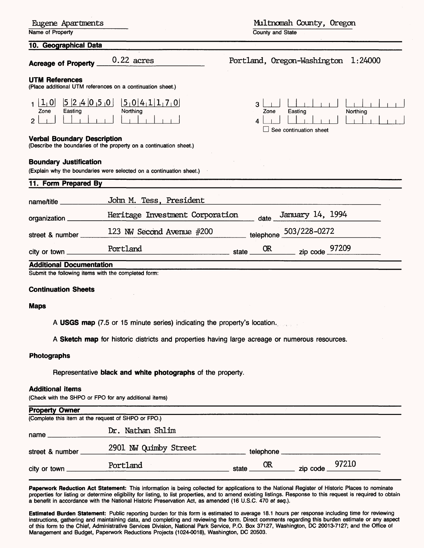| Eugene Apartments |
|-------------------|
|-------------------|

Name of Property

### **10. Geographical Data**

### **UTM Re**

| ا0 ∟<br>Zone | Easting | $ 5 2 4 0 5 0 $ $ 5 0 4 1 1 7 0 $<br>Northing |
|--------------|---------|-----------------------------------------------|
|              |         |                                               |

### **Verbal E**

### **Boundar**

Miltnomah County, Oregon

County and State

| <b>Acreage of Property</b>                                                                                                                | $0.22$ acres                                                                                    | 1:24000<br>Portland, Oregon-Washington                                     |
|-------------------------------------------------------------------------------------------------------------------------------------------|-------------------------------------------------------------------------------------------------|----------------------------------------------------------------------------|
| <b>UTM References</b>                                                                                                                     | (Place additional UTM references on a continuation sheet.)                                      |                                                                            |
| [5  2  4  0  5  0]<br>1  1 0 <br>Easting<br>Zone<br>$\overline{2}$<br><b>Verbal Boundary Description</b><br><b>Boundary Justification</b> | 5 0 4 1 1 7 0<br>Northing<br>(Describe the boundaries of the property on a continuation sheet.) | $\mathbf{R}$<br>Easting<br>Northing<br>Zone<br>4<br>See continuation sheet |
| 11. Form Prepared By                                                                                                                      | (Explain why the boundaries were selected on a continuation sheet.)                             |                                                                            |
| name/title ______                                                                                                                         | John M. Tess, President                                                                         |                                                                            |
| organization_                                                                                                                             | Heritage Investment Corporation                                                                 | January 14, 1994<br>$date_$                                                |
| street & number                                                                                                                           | 123 NW Second Avenue #200                                                                       | 503/228-0272<br>telephone                                                  |
| city or town $\equiv$                                                                                                                     | Portland                                                                                        | 97209<br>OR.<br>zip code.<br>state                                         |
| <b>Additional Documentation</b>                                                                                                           |                                                                                                 |                                                                            |

Submit the following items with the completed form:

### **Continuation Sheets**

### **Maps**

**A USGS map** (7.5 or 15 minute series) indicating the property's location.

**A Sketch map** for historic districts and properties having large acreage or numerous resources.

### **Photographs**

Representative **black and white photographs** of the property.

### **Additional items**

(Check with the SHPO or FPO for any additional items)

| <b>Property Owner</b> |                                                     |                        |                  |  |
|-----------------------|-----------------------------------------------------|------------------------|------------------|--|
|                       | (Complete this item at the request of SHPO or FPO.) |                        |                  |  |
| name                  | Dr. Nathan Shlim                                    |                        |                  |  |
| street & number       | 2901 NW Quimby Street                               | telephone ____________ |                  |  |
| city or town          | Portland                                            | 0R<br>state            | zip code $97210$ |  |

**Paperwork Reduction Act Statement:** This information is being collected for applications to the National Register of Historic Places to nominate properties for listing or determine eligibility for listing, to list properties, and to amend existing listings. Response to this request is required to obtain a benefit in accordance with the National Historic Preservation Act, as amended (16 U.S.C. 470 et seq.).

**Estimated Burden Statement:** Public reporting burden for this form is estimated to average 18.1 hours per response including time for reviewing instructions, gathering and maintaining data, and completing and reviewing the form. Direct comments regarding this burden estimate or any aspect of this form to the Chief, Administrative Services Division, National Park Service, P.O. Box 37127, Washington, DC 20013-7127; and the Office of Management and Budget, Paperwork Reductions Projects (1024-0018), Washington, DC'20503.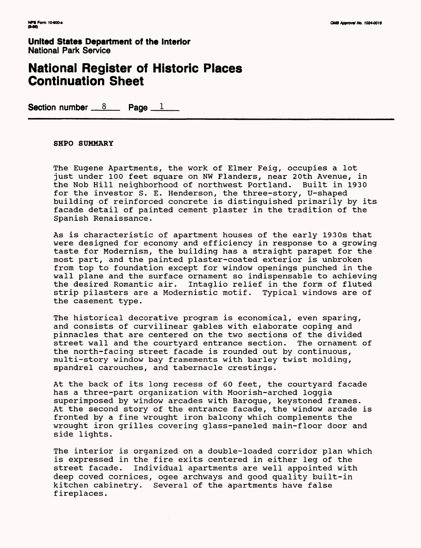## **National Register of Historic Places Continuation Sheet**

**Section number 8 Rage 1** 

### **SHPO SUMMARY**

The Eugene Apartments, the work of Elmer Feig, occupies a lot just under 100 feet square on NW Flanders, near 20th Avenue, in the Nob Hill neighborhood of northwest Portland. Built in 1930 for the investor S. E. Henderson, the three-story, U-shaped building of reinforced concrete is distinguished primarily by its facade detail of painted cement plaster in the tradition of the Spanish Renaissance.

As is characteristic of apartment houses of the early 1930s that were designed for economy and efficiency in response to a growing taste for Modernism, the building has a straight parapet for the most part, and the painted plaster-coated exterior is unbroken from top to foundation except for window openings punched in the wall plane and the surface ornament so indispensable to achieving the desired Romantic air. Intaglio relief in the form of fluted strip pilasters are a Modernistic motif. Typical windows are of the casement type.

The historical decorative program is economical, even sparing, and consists of curvilinear gables with elaborate coping and pinnacles that are centered on the two sections of the divided street wall and the courtyard entrance section. The ornament of the north-facing street facade is rounded out by continuous, multi-story window bay framements with barley twist molding, spandrel carouches, and tabernacle crestings.

At the back of its long recess of 60 feet, the courtyard facade has a three-part organization with Moorish-arched loggia superimposed by window arcades with Baroque, keystoned frames. At the second story of the entrance facade, the window arcade is fronted by a fine wrought iron balcony which complements the wrought iron grilles covering glass-paneled main-floor door and side lights.

The interior is organized on a double-loaded corridor plan which is expressed in the fire exits centered in either leg of the street facade. Individual apartments are well appointed with deep coved cornices, ogee archways and good quality built-in kitchen cabinetry. Several of the apartments have false fireplaces.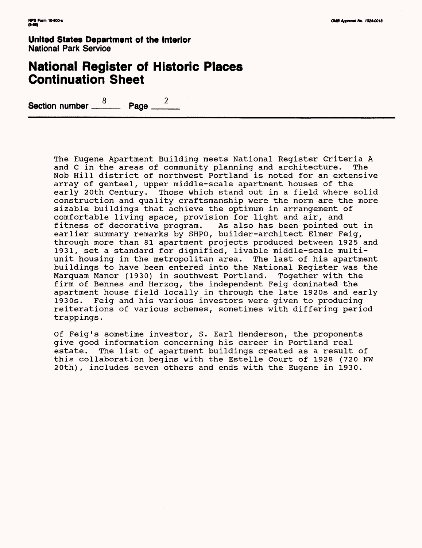# **National Register of Historic Places Continuation Sheet**

 $\overline{2}$ 8 Section number \_\_\_ Page .

> The Eugene Apartment Building meets National Register Criteria A and C in the areas of community planning and architecture. The Nob Hill district of northwest Portland is noted for an extensive array of genteel, upper middle-scale apartment houses of the early 20th Century. Those which stand out in a field where solid construction and quality craftsmanship were the norm are the more sizable buildings that achieve the optimum in arrangement of comfortable living space, provision for light and air, and fitness of decorative program. As also has been pointed out in earlier summary remarks by SHPO, builder-architect Elmer Feig, through more than 81 apartment projects produced between 1925 and 1931, set a standard for dignified, livable middle-scale multiunit housing in the metropolitan area. The last of his apartment buildings to have been entered into the National Register was the Marquam Manor (1930) in southwest Portland. Together with the firm of Bennes and Herzog, the independent Feig dominated the apartment house field locally in through the late 1920s and early 1930s. Feig and his various investors were given to producing reiterations of various schemes, sometimes with differing period trappings.

Of Feig's sometime investor, S. Earl Henderson, the proponents give good information concerning his career in Portland real estate. The list of apartment buildings created as a result of this collaboration begins with the Estelle Court of 1928 (720 NW 20th), includes seven others and ends with the Eugene in 1930.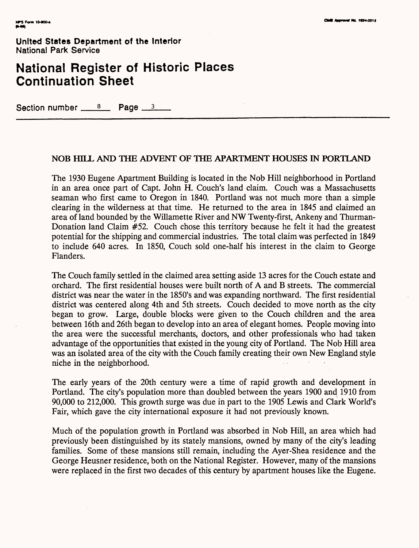# **National Register of Historic Places Continuation Sheet**

Section number  $8$  Page  $3$ 

### **NOB HILL AND THE ADVENT OF THE APARTMENT HOUSES IN PORTLAND**

The 1930 Eugene Apartment Building is located in the Nob Hill neighborhood in Portland in an area once part of Capt. John H. Couch's land claim. Couch was a Massachusetts seaman who first came to Oregon in 1840. Portland was not much more than a simple clearing in the wilderness at that time. He returned to the area in 1845 and claimed an area of land bounded by the Willamette River and NW Twenty-first, Ankeny and Thurman-Donation land Claim #52. Couch chose this territory because he felt it had the greatest potential for the shipping and commercial industries. The total claim was perfected in 1849 to include 640 acres. In 1850, Couch sold one-half his interest in the claim to George Flanders.

The Couch family settled in the claimed area setting aside 13 acres for the Couch estate and orchard. The first residential houses were built north of A and B streets. The commercial district was near the water in the 1850's and was expanding northward. The first residential district was centered along 4th and 5th streets. Couch decided to move north as the city began to grow. Large, double blocks were given to the Couch children and the area between 16th and 26th began to develop into an area of elegant homes. People moving into the area were the successful merchants, doctors, and other professionals who had taken advantage of the opportunities that existed in the young city of Portland. The Nob Hill area was an isolated area of the city with the Couch family creating their own New England style niche in the neighborhood.

The early years of the 20th century were a time of rapid growth and development in Portland. The city's population more than doubled between the years 1900 and 1910 from 90,000 to 212,000. This growth surge was due in part to the 1905 Lewis and Clark World's Fair, which gave the city international exposure it had not previously known.

Much of the population growth in Portland was absorbed in Nob Hill, an area which had previously been distinguished by its stately mansions, owned by many of the city's leading families. Some of these mansions still remain, including the Ayer-Shea residence and the George Heusner residence, both on the National Register. However, many of the mansions were replaced in the first two decades of this century by apartment houses like the Eugene.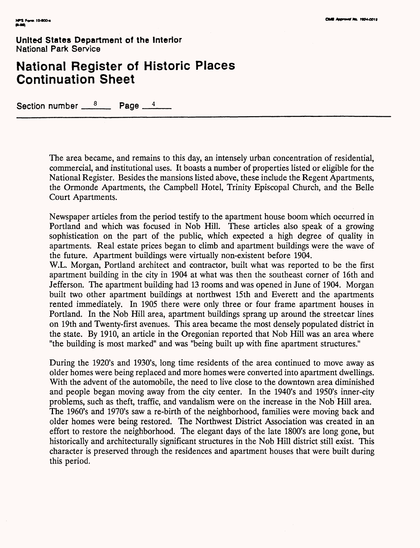# **National Register of Historic Places Continuation Sheet**

Section number  $\frac{8}{2}$  Page  $\frac{4}{4}$ 

The area became, and remains to this day, an intensely urban concentration of residential, commercial, and institutional uses. It boasts a number of properties listed or eligible for the National Register. Besides the mansions listed above, these include the Regent Apartments, the Ormonde Apartments, the Campbell Hotel, Trinity Episcopal Church, and the Belle Court Apartments.

Newspaper articles from the period testify to the apartment house boom which occurred in Portland and which was focused in Nob Hill. These articles also speak of a growing sophistication on the part of the public, which expected a high degree of quality in apartments. Real estate prices began to climb and apartment buildings were the wave of the future. Apartment buildings were virtually non-existent before 1904.

W.L. Morgan, Portland architect and contractor, built what was reported to be the first apartment building in the city in 1904 at what was then the southeast corner of 16th and Jefferson. The apartment building had 13 rooms and was opened in June of 1904. Morgan built two other apartment buildings at northwest 15th and Everett and the apartments rented immediately. In 1905 there were only three or four frame apartment houses in Portland. In the Nob Hill area, apartment buildings sprang up around the streetcar lines on 19th and Twenty-first avenues. This area became the most densely populated district in the state. By 1910, an article in the Oregonian reported that Nob Hill was an area where "the building is most marked" and was "being built up with fine apartment structures."

During the 1920's and 1930's, long time residents of the area continued to move away as older homes were being replaced and more homes were converted into apartment dwellings. With the advent of the automobile, the need to live close to the downtown area diminished and people began moving away from the city center. In the 1940's and 1950's inner-city problems, such as theft, traffic, and vandalism were on the increase in the Nob Hill area. The 1960's and 1970's saw a re-birth of the neighborhood, families were moving back and older homes were being restored. The Northwest District Association was created in an effort to restore the neighborhood. The elegant days of the late 1800's are long gone, but historically and architecturally significant structures in the Nob Hill district still exist. This character is preserved through the residences and apartment houses that were built during this period.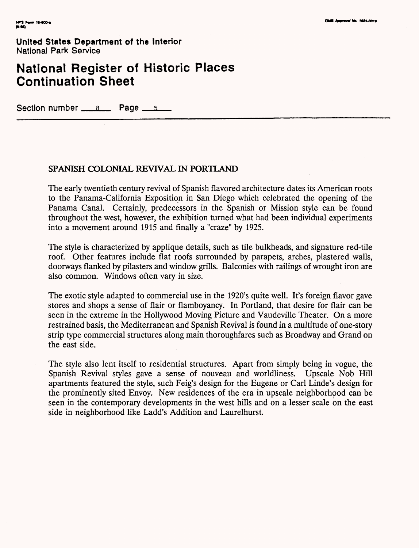# **National Register of Historic Places Continuation Sheet**

Section number  $s$  Page  $s$ 

### **SPANISH COLONIAL REVIVAL IN PORTLAND**

The early twentieth century revival of Spanish flavored architecture dates its American roots to the Panama-California Exposition in San Diego which celebrated the opening of the Panama Canal. Certainly, predecessors in the Spanish or Mission style can be found throughout the west, however, the exhibition turned what had been individual experiments into a movement around 1915 and finally a "craze" by 1925.

The style is characterized by applique details, such as tile bulkheads, and signature red-tile roof. Other features include flat roofs surrounded by parapets, arches, plastered walls, doorways flanked by pilasters and window grills. Balconies with railings of wrought iron are also common. Windows often vary in size.

The exotic style adapted to commercial use in the 1920's quite well. It's foreign flavor gave stores and shops a sense of flair or flamboyancy. In Portland, that desire for flair can be seen in the extreme in the Hollywood Moving Picture and Vaudeville Theater. On a more restrained basis, the Mediterranean and Spanish Revival is found in a multitude of one-story strip type commercial structures along main thoroughfares such as Broadway and Grand on the east side.

The style also lent itself to residential structures. Apart from simply being in vogue, the Spanish Revival styles gave a sense of nouveau and worldliness. Upscale Nob Hill apartments featured the style, such Feig's design for the Eugene or Carl Linde's design for the prominently sited Envoy. New residences of the era in upscale neighborhood can be seen in the contemporary developments in the west hills and on a lesser scale on the east side in neighborhood like Ladd's Addition and Laurelhurst.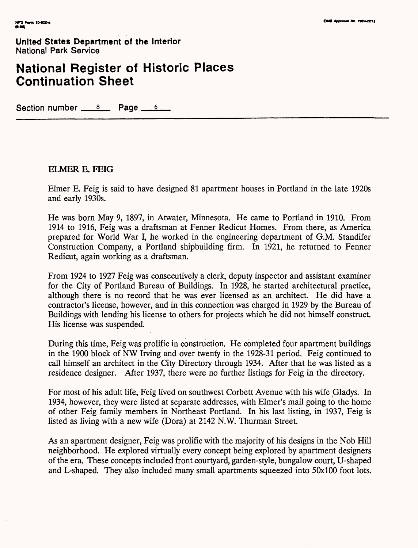# **National Register of Historic Places Continuation Sheet**

Section number  $8 \times 10^8$  Page  $6 \times 6$ 

### **ELMER E. FEIG**

Elmer E. Feig is said to have designed 81 apartment houses in Portland in the late 1920s and early 1930s.

He was born May 9, 1897, in Atwater, Minnesota. He came to Portland in 1910. From 1914 to 1916, Feig was a draftsman at Fenner Redicut Homes. From there, as America prepared for World War I, he worked in the engineering department of G.M. Standifer Construction Company, a Portland shipbuilding firm. In 1921, he returned to Fenner Redicut, again working as a draftsman.

From 1924 to 1927 Feig was consecutively a clerk, deputy inspector and assistant examiner for the City of Portland Bureau of Buildings. In 1928, he started architectural practice, although there is no record that he was ever licensed as an architect. He did have a contractor's license, however, and in this connection was charged in 1929 by the Bureau of Buildings with lending his license to others for projects which he did not himself construct. His license was suspended.

During this time, Feig was prolific in construction. He completed four apartment buildings in the 1900 block of NW Irving and over twenty in the 1928-31 period. Feig continued to call himself an architect in the City Directory through 1934. After that he was listed as a residence designer. After 1937, there were no further listings for Feig in the directory.

For most of his adult life, Feig lived on southwest Corbett Avenue with his wife Gladys. In 1934, however, they were listed at separate addresses, with Elmer's mail going to the home of other Feig family members in Northeast Portland. In his last listing, in 1937, Feig is listed as living with a new wife (Dora) at 2142 N.W. Thurman Street.

As an apartment designer, Feig was prolific with the majority of his designs in the Nob Hill neighborhood. He explored virtually every concept being explored by apartment designers of the era. These concepts included front courtyard, garden-style, bungalow court, U-shaped and L-shaped. They also included many small apartments squeezed into 50x100 foot lots.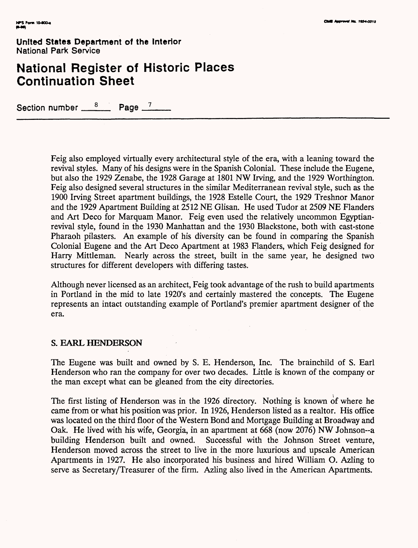# **National Register of Historic Places Continuation Sheet**

Section number  $\frac{8}{2}$  Page  $\frac{7}{2}$ 

Feig also employed virtually every architectural style of the era, with a leaning toward the revival styles. Many of his designs were in the Spanish Colonial. These include the Eugene, but also the 1929 Zenabe, the 1928 Garage at 1801 NW Irving, and the 1929 Worthington. Feig also designed several structures in the similar Mediterranean revival style, such as the 1900 Irving Street apartment buildings, the 1928 Estelle Court, the 1929 Treshnor Manor and the 1929 Apartment Building at 2512 NE Glisan. He used Tudor at 2509 NE Flanders and Art Deco for Marquam Manor. Feig even used the relatively uncommon Egyptianrevival style, found in the 1930 Manhattan and the 1930 Blackstone, both with cast-stone Pharaoh pilasters. An example of his diversity can be found in comparing the Spanish Colonial Eugene and the Art Deco Apartment at 1983 Flanders, which Feig designed for Harry Mittleman. Nearly across the street, built in the same year, he designed two structures for different developers with differing tastes.

Although never licensed as an architect, Feig took advantage of the rush to build apartments in Portland in the mid to late 1920's and certainly mastered the concepts. The Eugene represents an intact outstanding example of Portland's premier apartment designer of the era.

### **S. EARL HENDERSON**

The Eugene was built and owned by S. E. Henderson, Inc. The brainchild of S. Earl Henderson who ran the company for over two decades. Little is known of the company or the man except what can be gleaned from the city directories.

The first listing of Henderson was in the 1926 directory. Nothing is known of where he came from or what his position was prior. In 1926, Henderson listed as a realtor. His office was located on the third floor of the Western Bond and Mortgage Building at Broadway and Oak. He lived with his wife, Georgia, in an apartment at 668 (now 2076) NW Johnson-a building Henderson built and owned. Successful with the Johnson Street venture, Henderson moved across the street to live in the more luxurious and upscale American Apartments in 1927. He also incorporated his business and hired William O. Azling to serve as Secretary/Treasurer of the firm. Azling also lived in the American Apartments.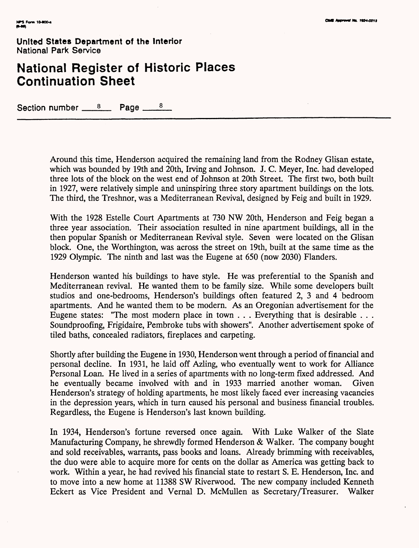# **National Register of Historic Places Continuation Sheet**

Section number  $8$  Page  $8$ 

Around this time, Henderson acquired the remaining land from the Rodney Glisan estate, which was bounded by 19th and 20th, Irving and Johnson. J. C. Meyer, Inc. had developed three lots of the block on the west end of Johnson at 20th Street. The first two, both built in 1927, were relatively simple and uninspiring three story apartment buildings on the lots. The third, the Treshnor, was a Mediterranean Revival, designed by Feig and built in 1929.

With the 1928 Estelle Court Apartments at 730 NW 20th, Henderson and Feig began a three year association. Their association resulted in nine apartment buildings, all in the then popular Spanish or Mediterranean Revival style. Seven were located on the Glisan block. One, the Worthington, was across the street on 19th, built at the same time as the 1929 Olympic. The ninth and last was the Eugene at 650 (now 2030) Flanders.

Henderson wanted his buildings to have style. He was preferential to the Spanish and Mediterranean revival. He wanted them to be family size. While some developers built studios and one-bedrooms, Henderson's buildings often featured 2, 3 and 4 bedroom apartments. And he wanted them to be modern. As an Oregonian advertisement for the Eugene states: "The most modern place in town . . . Everything that is desirable . . . Soundproofing, Frigidaire, Pembroke tubs with showers". Another advertisement spoke of tiled baths, concealed radiators, fireplaces and carpeting.

Shortly after building the Eugene in 1930, Henderson went through a period of financial and personal decline. In 1931, he laid off Azling, who eventually went to work for Alliance Personal Loan. He lived in a series of apartments with no long-term fixed addressed. And he eventually became involved with and in 1933 married another woman. Given Henderson's strategy of holding apartments, he most likely faced ever increasing vacancies in the depression years, which in turn caused his personal and business financial troubles. Regardless, the Eugene is Henderson's last known building.

In 1934, Henderson's fortune reversed once again. With Luke Walker of the Slate Manufacturing Company, he shrewdly formed Henderson & Walker. The company bought and sold receivables, warrants, pass books and loans. Already brimming with receivables, the duo were able to acquire more for cents on the dollar as America was getting back to work. Within a year, he had revived his financial state to restart S. E. Henderson, Inc. and to move into a new home at 11388 SW Riverwood. The new company included Kenneth Eckert as Vice President and Vernal D. McMullen as Secretary/Treasurer. Walker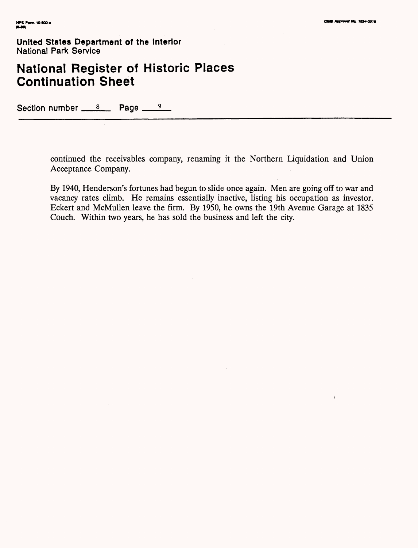$\mathbf{I}$ 

**United States Department of the Interior** National Park Service

# **National Register of Historic Places Continuation Sheet**

Section number  $8 \times 8$  Page  $9 \times 9$ 

continued the receivables company, renaming it the Northern Liquidation and Union Acceptance Company.

By 1940, Henderson's fortunes had begun to slide once again. Men are going off to war and vacancy rates climb. He remains essentially inactive, listing his occupation as investor. Eckert and McMullen leave the firm. By 1950, he owns the 19th Avenue Garage at 1835 Couch. Within two years, he has sold the business and left the city.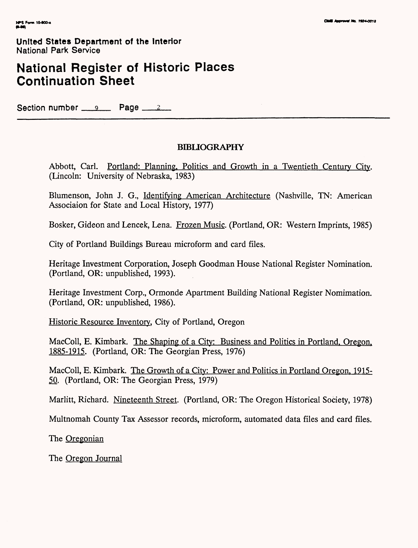# **National Register of Historic Places Continuation Sheet**

Section number  $9 \times 12$ 

### **BIBLIOGRAPHY**

Abbott, Carl. Portland: Planning. Politics and Growth in a Twentieth Century City. (Lincoln: University of Nebraska, 1983)

Blumenson, John J. G., Identifying American Architecture (Nashville, TN: American Associaion for State and Local History, 1977)

Bosker, Gideon and Lencek, Lena. Frozen Music. (Portland, OR: Western Imprints, 1985)

City of Portland Buildings Bureau microform and card files.

Heritage Investment Corporation, Joseph Goodman House National Register Nomination. (Portland, OR: unpublished, 1993).

Heritage Investment Corp., Ormonde Apartment Building National Register Nomimation. (Portland, OR: unpublished, 1986).

Historic Resource Inventory. City of Portland, Oregon

MacColl, E. Kimbark. The Shaping of a City: Business and Politics in Portland. Oregon. 1885-1915. (Portland, OR: The Georgian Press, 1976)

MacColl, E. Kimbark. The Growth of a City: Power and Politics in Portland Oregon. 1915- 50. (Portland, OR: The Georgian Press, 1979)

Marlitt, Richard. Nineteenth Street. (Portland, OR: The Oregon Historical Society, 1978)

Multnomah County Tax Assessor records, microform, automated data files and card files.

The Oregonian

The Oregon Journal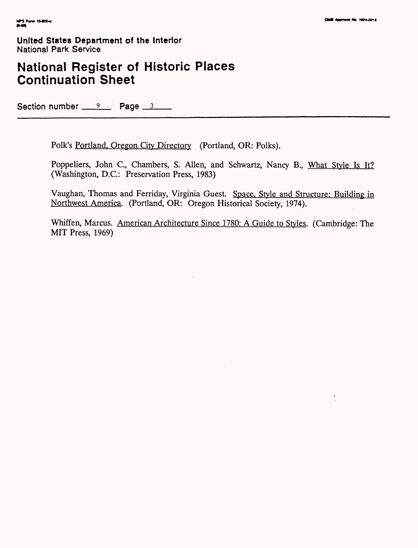$\bar{1}$ 

**United States Department of the Interior** National Park Service

# **National Register of Historic Places Continuation Sheet**

Section number  $9 \times 12 = 9$  Page  $3 \times 3 = 9$ 

Folk's Portland. Oregon City Directory (Portland, OR: Polks).

Poppeliers, John C., Chambers, S. Allen, and Schwartz, Nancy B., What Style Is It? (Washington, D.C.: Preservation Press, 1983)

Vaughan, Thomas and Ferriday, Virginia Guest. Space. Style and Structure: Building in Northwest America. (Portland, OR: Oregon Historical Society, 1974).

Whiffen, Marcus. American Architecture Since 1780: A Guide to Styles. (Cambridge: The MIT Press, 1969)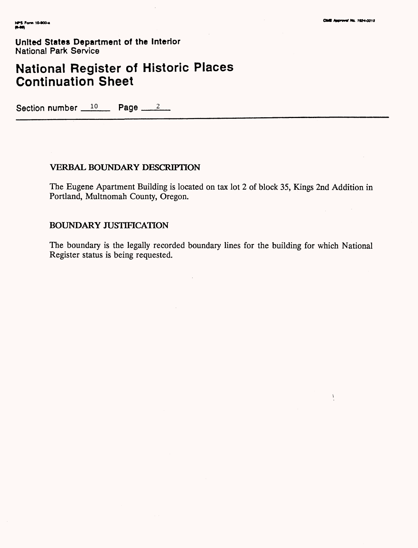Ą

**United States Department of the Interior** National Park Service

# **National Register of Historic Places Continuation Sheet**

Section number  $10$  Page  $2$ 

### **VERBAL BOUNDARY DESCRIPTION**

The Eugene Apartment Building is located on tax lot 2 of block 35, Kings 2nd Addition in Portland, Multnomah County, Oregon.

### **BOUNDARY JUSTIFICATION**

The boundary is the legally recorded boundary lines for the building for which National Register status is being requested.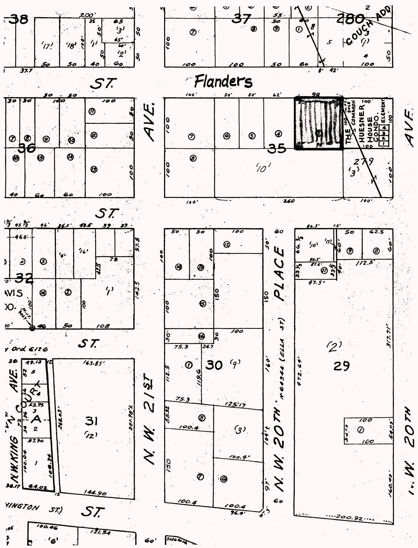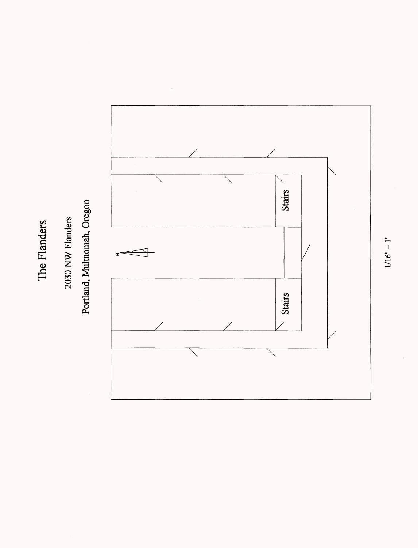The Flanders The Flanders

# 2030 NW Flanders 2030 NW Flanders

# Portland, Multnomah, Oregon Portland, Multnomah, Oregon



 $1/16" = 1"$